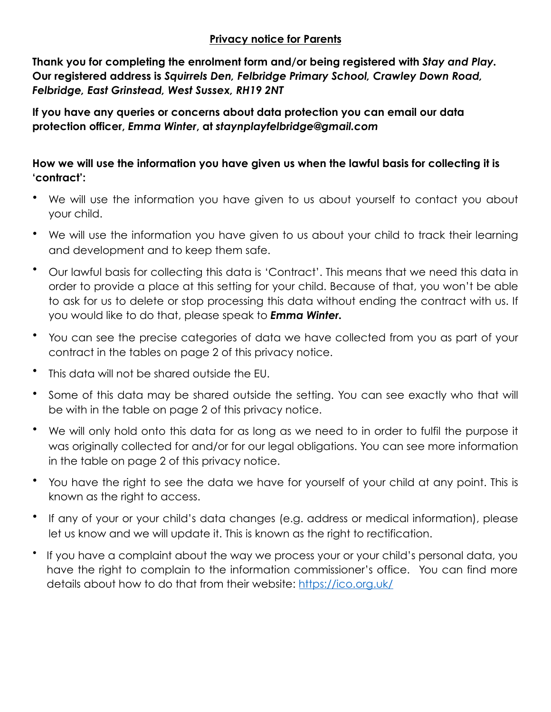## **Privacy notice for Parents**

**Thank you for completing the enrolment form and/or being registered with** *Stay and Play.* **Our registered address is** *Squirrels Den, Felbridge Primary School, Crawley Down Road, Felbridge, East Grinstead, West Sussex, RH19 2NT* 

**If you have any queries or concerns about data protection you can email our data protection officer,** *Emma Winter***, at** *staynplayfelbridge@gmail.com* 

## **How we will use the information you have given us when the lawful basis for collecting it is 'contract':**

- We will use the information you have given to us about yourself to contact you about your child.
- We will use the information you have given to us about your child to track their learning and development and to keep them safe.
- Our lawful basis for collecting this data is 'Contract'. This means that we need this data in order to provide a place at this setting for your child. Because of that, you won't be able to ask for us to delete or stop processing this data without ending the contract with us. If you would like to do that, please speak to *Emma Winter.*
- You can see the precise categories of data we have collected from you as part of your contract in the tables on page 2 of this privacy notice.
- This data will not be shared outside the EU.
- Some of this data may be shared outside the setting. You can see exactly who that will be with in the table on page 2 of this privacy notice.
- We will only hold onto this data for as long as we need to in order to fulfil the purpose it was originally collected for and/or for our legal obligations. You can see more information in the table on page 2 of this privacy notice.
- You have the right to see the data we have for yourself of your child at any point. This is known as the right to access.
- If any of your or your child's data changes (e.g. address or medical information), please let us know and we will update it. This is known as the right to rectification.
- If you have a complaint about the way we process your or your child's personal data, you have the right to complain to the information commissioner's office. You can find more details about how to do that from their website: <https://ico.org.uk/>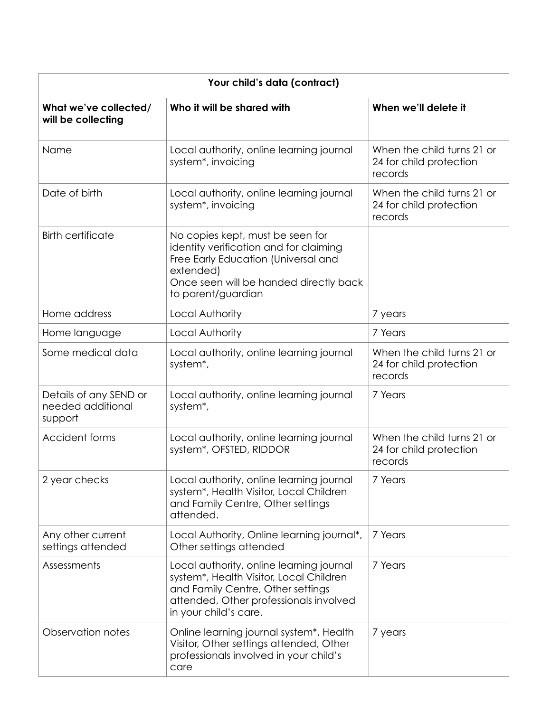| Your child's data (contract)                           |                                                                                                                                                                                                |                                                                  |  |
|--------------------------------------------------------|------------------------------------------------------------------------------------------------------------------------------------------------------------------------------------------------|------------------------------------------------------------------|--|
| What we've collected/<br>will be collecting            | Who it will be shared with                                                                                                                                                                     | When we'll delete it                                             |  |
| Name                                                   | Local authority, online learning journal<br>system <sup>*</sup> , invoicing                                                                                                                    | When the child turns 21 or<br>24 for child protection<br>records |  |
| Date of birth                                          | Local authority, online learning journal<br>system <sup>*</sup> , invoicing                                                                                                                    | When the child turns 21 or<br>24 for child protection<br>records |  |
| <b>Birth certificate</b>                               | No copies kept, must be seen for<br>identity verification and for claiming<br>Free Early Education (Universal and<br>extended)<br>Once seen will be handed directly back<br>to parent/guardian |                                                                  |  |
| Home address                                           | Local Authority                                                                                                                                                                                | 7 years                                                          |  |
| Home language                                          | Local Authority                                                                                                                                                                                | 7 Years                                                          |  |
| Some medical data                                      | Local authority, online learning journal<br>system*,                                                                                                                                           | When the child turns 21 or<br>24 for child protection<br>records |  |
| Details of any SEND or<br>needed additional<br>support | Local authority, online learning journal<br>system*,                                                                                                                                           | 7 Years                                                          |  |
| Accident forms                                         | Local authority, online learning journal<br>system*, OFSTED, RIDDOR                                                                                                                            | When the child turns 21 or<br>24 for child protection<br>records |  |
| 2 year checks                                          | Local authority, online learning journal<br>system*, Health Visitor, Local Children<br>and Family Centre, Other settings<br>attended.                                                          | 7 Years                                                          |  |
| Any other current<br>settings attended                 | Local Authority, Online learning journal*,<br>Other settings attended                                                                                                                          | 7 Years                                                          |  |
| Assessments                                            | Local authority, online learning journal<br>system*, Health Visitor, Local Children<br>and Family Centre, Other settings<br>attended, Other professionals involved<br>in your child's care.    | 7 Years                                                          |  |
| Observation notes                                      | Online learning journal system*, Health<br>Visitor, Other settings attended, Other<br>professionals involved in your child's<br>care                                                           | 7 years                                                          |  |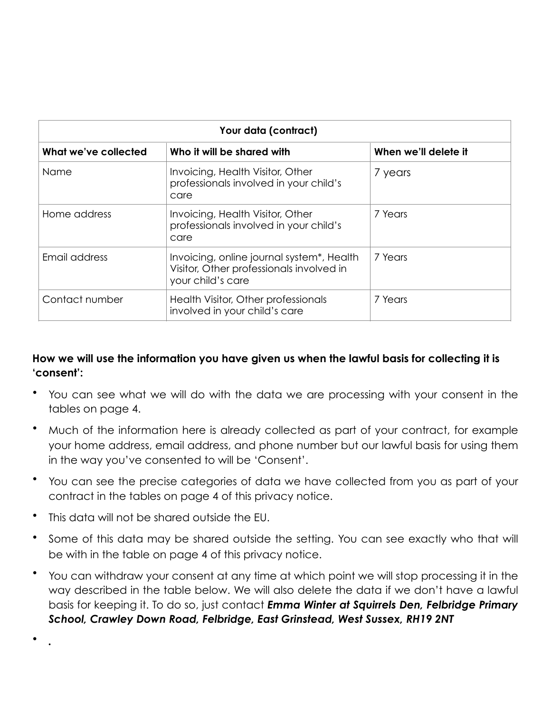| Your data (contract) |                                                                                                            |                      |  |  |
|----------------------|------------------------------------------------------------------------------------------------------------|----------------------|--|--|
| What we've collected | Who it will be shared with                                                                                 | When we'll delete it |  |  |
| <b>Name</b>          | Invoicing, Health Visitor, Other<br>professionals involved in your child's<br>care                         | 7 years              |  |  |
| Home address         | Invoicing, Health Visitor, Other<br>professionals involved in your child's<br>care                         | 7 Years              |  |  |
| Email address        | Invoicing, online journal system*, Health<br>Visitor, Other professionals involved in<br>your child's care | 7 Years              |  |  |
| Contact number       | Health Visitor, Other professionals<br>involved in your child's care                                       | 7 Years              |  |  |

## **How we will use the information you have given us when the lawful basis for collecting it is 'consent':**

- You can see what we will do with the data we are processing with your consent in the tables on page 4.
- Much of the information here is already collected as part of your contract, for example your home address, email address, and phone number but our lawful basis for using them in the way you've consented to will be 'Consent'.
- You can see the precise categories of data we have collected from you as part of your contract in the tables on page 4 of this privacy notice.
- This data will not be shared outside the EU.
- Some of this data may be shared outside the setting. You can see exactly who that will be with in the table on page 4 of this privacy notice.
- You can withdraw your consent at any time at which point we will stop processing it in the way described in the table below. We will also delete the data if we don't have a lawful basis for keeping it. To do so, just contact *Emma Winter at Squirrels Den, Felbridge Primary School, Crawley Down Road, Felbridge, East Grinstead, West Sussex, RH19 2NT*

• *.*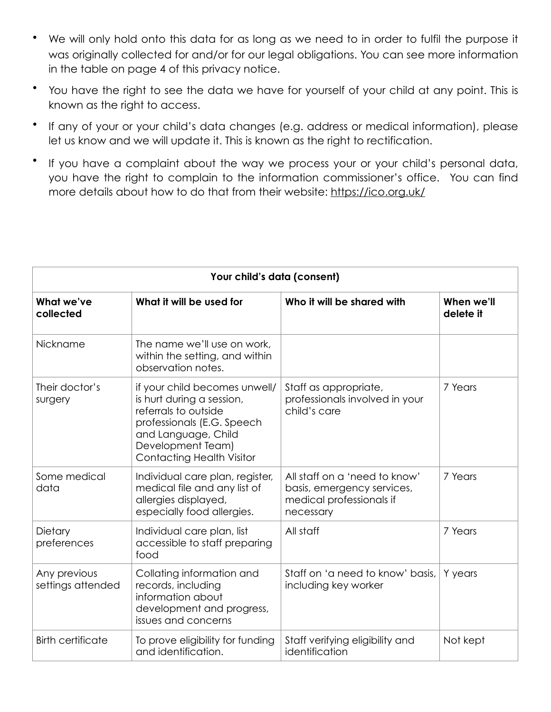- We will only hold onto this data for as long as we need to in order to fulfil the purpose it was originally collected for and/or for our legal obligations. You can see more information in the table on page 4 of this privacy notice.
- You have the right to see the data we have for yourself of your child at any point. This is known as the right to access.
- If any of your or your child's data changes (e.g. address or medical information), please let us know and we will update it. This is known as the right to rectification.
- If you have a complaint about the way we process your or your child's personal data, you have the right to complain to the information commissioner's office. You can find more details about how to do that from their website: <https://ico.org.uk/>

| Your child's data (consent)       |                                                                                                                                                                                                  |                                                                                                      |                         |  |
|-----------------------------------|--------------------------------------------------------------------------------------------------------------------------------------------------------------------------------------------------|------------------------------------------------------------------------------------------------------|-------------------------|--|
| What we've<br>collected           | What it will be used for                                                                                                                                                                         | Who it will be shared with                                                                           | When we'll<br>delete it |  |
| Nickname                          | The name we'll use on work,<br>within the setting, and within<br>observation notes.                                                                                                              |                                                                                                      |                         |  |
| Their doctor's<br>surgery         | if your child becomes unwell/<br>is hurt during a session,<br>referrals to outside<br>professionals (E.G. Speech<br>and Language, Child<br>Development Team)<br><b>Contacting Health Visitor</b> | Staff as appropriate,<br>professionals involved in your<br>child's care                              | 7 Years                 |  |
| Some medical<br>data              | Individual care plan, register,<br>medical file and any list of<br>allergies displayed,<br>especially food allergies.                                                                            | All staff on a 'need to know'<br>basis, emergency services,<br>medical professionals if<br>necessary | 7 Years                 |  |
| Dietary<br>preferences            | Individual care plan, list<br>accessible to staff preparing<br>food                                                                                                                              | All staff                                                                                            | 7 Years                 |  |
| Any previous<br>settings attended | Collating information and<br>records, including<br>information about<br>development and progress,<br>issues and concerns                                                                         | Staff on 'a need to know' basis,<br>including key worker                                             | Y years                 |  |
| <b>Birth certificate</b>          | To prove eligibility for funding<br>and identification.                                                                                                                                          | Staff verifying eligibility and<br>identification                                                    | Not kept                |  |